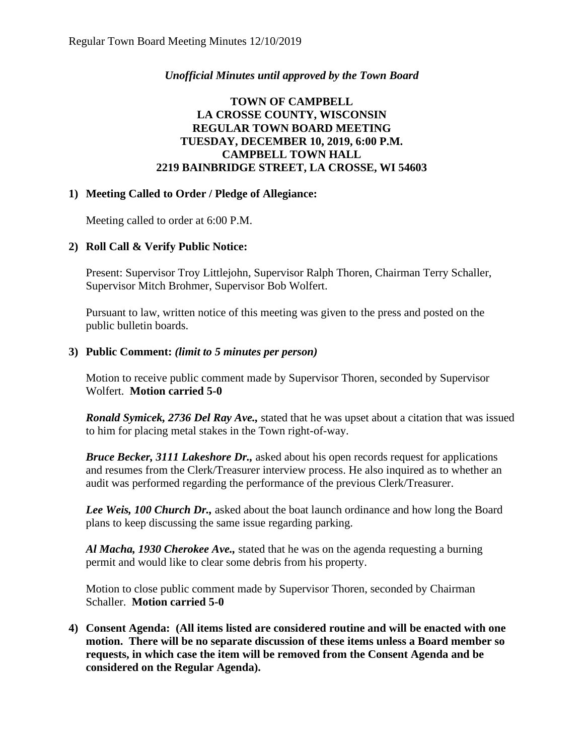# *Unofficial Minutes until approved by the Town Board*

# **TOWN OF CAMPBELL LA CROSSE COUNTY, WISCONSIN REGULAR TOWN BOARD MEETING TUESDAY, DECEMBER 10, 2019, 6:00 P.M. CAMPBELL TOWN HALL 2219 BAINBRIDGE STREET, LA CROSSE, WI 54603**

# **1) Meeting Called to Order / Pledge of Allegiance:**

Meeting called to order at 6:00 P.M.

# **2) Roll Call & Verify Public Notice:**

Present: Supervisor Troy Littlejohn, Supervisor Ralph Thoren, Chairman Terry Schaller, Supervisor Mitch Brohmer, Supervisor Bob Wolfert.

Pursuant to law, written notice of this meeting was given to the press and posted on the public bulletin boards.

# **3) Public Comment:** *(limit to 5 minutes per person)*

Motion to receive public comment made by Supervisor Thoren, seconded by Supervisor Wolfert. **Motion carried 5-0**

*Ronald Symicek, 2736 Del Ray Ave.,* stated that he was upset about a citation that was issued to him for placing metal stakes in the Town right-of-way.

*Bruce Becker, 3111 Lakeshore Dr.,* asked about his open records request for applications and resumes from the Clerk/Treasurer interview process. He also inquired as to whether an audit was performed regarding the performance of the previous Clerk/Treasurer.

*Lee Weis, 100 Church Dr.,* asked about the boat launch ordinance and how long the Board plans to keep discussing the same issue regarding parking.

*Al Macha, 1930 Cherokee Ave.,* stated that he was on the agenda requesting a burning permit and would like to clear some debris from his property.

Motion to close public comment made by Supervisor Thoren, seconded by Chairman Schaller. **Motion carried 5-0**

**4) Consent Agenda: (All items listed are considered routine and will be enacted with one motion. There will be no separate discussion of these items unless a Board member so requests, in which case the item will be removed from the Consent Agenda and be considered on the Regular Agenda).**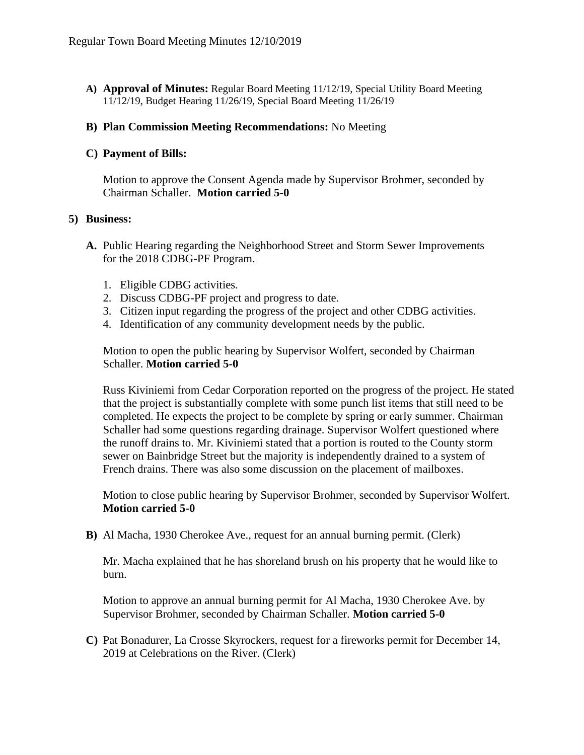**A) Approval of Minutes:** Regular Board Meeting 11/12/19, Special Utility Board Meeting 11/12/19, Budget Hearing 11/26/19, Special Board Meeting 11/26/19

### **B) Plan Commission Meeting Recommendations:** No Meeting

## **C) Payment of Bills:**

Motion to approve the Consent Agenda made by Supervisor Brohmer, seconded by Chairman Schaller. **Motion carried 5-0** 

#### **5) Business:**

- **A.** Public Hearing regarding the Neighborhood Street and Storm Sewer Improvements for the 2018 CDBG-PF Program.
	- 1. Eligible CDBG activities.
	- 2. Discuss CDBG-PF project and progress to date.
	- 3. Citizen input regarding the progress of the project and other CDBG activities.
	- 4. Identification of any community development needs by the public.

Motion to open the public hearing by Supervisor Wolfert, seconded by Chairman Schaller. **Motion carried 5-0**

Russ Kiviniemi from Cedar Corporation reported on the progress of the project. He stated that the project is substantially complete with some punch list items that still need to be completed. He expects the project to be complete by spring or early summer. Chairman Schaller had some questions regarding drainage. Supervisor Wolfert questioned where the runoff drains to. Mr. Kiviniemi stated that a portion is routed to the County storm sewer on Bainbridge Street but the majority is independently drained to a system of French drains. There was also some discussion on the placement of mailboxes.

Motion to close public hearing by Supervisor Brohmer, seconded by Supervisor Wolfert. **Motion carried 5-0**

**B)** Al Macha, 1930 Cherokee Ave., request for an annual burning permit. (Clerk)

Mr. Macha explained that he has shoreland brush on his property that he would like to burn.

Motion to approve an annual burning permit for Al Macha, 1930 Cherokee Ave. by Supervisor Brohmer, seconded by Chairman Schaller. **Motion carried 5-0**

**C)** Pat Bonadurer, La Crosse Skyrockers, request for a fireworks permit for December 14, 2019 at Celebrations on the River. (Clerk)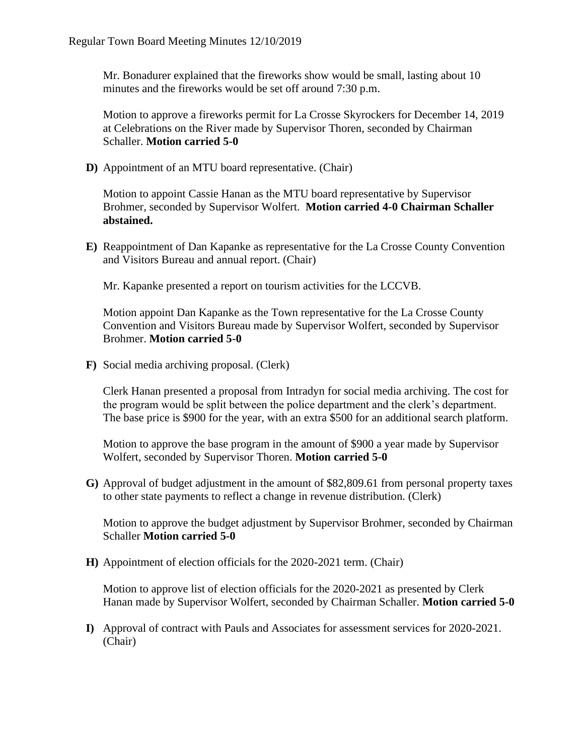Mr. Bonadurer explained that the fireworks show would be small, lasting about 10 minutes and the fireworks would be set off around 7:30 p.m.

Motion to approve a fireworks permit for La Crosse Skyrockers for December 14, 2019 at Celebrations on the River made by Supervisor Thoren, seconded by Chairman Schaller. **Motion carried 5-0**

**D)** Appointment of an MTU board representative. (Chair)

Motion to appoint Cassie Hanan as the MTU board representative by Supervisor Brohmer, seconded by Supervisor Wolfert. **Motion carried 4-0 Chairman Schaller abstained.** 

**E)** Reappointment of Dan Kapanke as representative for the La Crosse County Convention and Visitors Bureau and annual report. (Chair)

Mr. Kapanke presented a report on tourism activities for the LCCVB.

Motion appoint Dan Kapanke as the Town representative for the La Crosse County Convention and Visitors Bureau made by Supervisor Wolfert, seconded by Supervisor Brohmer. **Motion carried 5-0**

**F)** Social media archiving proposal. (Clerk)

Clerk Hanan presented a proposal from Intradyn for social media archiving. The cost for the program would be split between the police department and the clerk's department. The base price is \$900 for the year, with an extra \$500 for an additional search platform.

Motion to approve the base program in the amount of \$900 a year made by Supervisor Wolfert, seconded by Supervisor Thoren. **Motion carried 5-0**

**G)** Approval of budget adjustment in the amount of \$82,809.61 from personal property taxes to other state payments to reflect a change in revenue distribution. (Clerk)

Motion to approve the budget adjustment by Supervisor Brohmer, seconded by Chairman Schaller **Motion carried 5-0**

**H)** Appointment of election officials for the 2020-2021 term. (Chair)

Motion to approve list of election officials for the 2020-2021 as presented by Clerk Hanan made by Supervisor Wolfert, seconded by Chairman Schaller. **Motion carried 5-0**

**I)** Approval of contract with Pauls and Associates for assessment services for 2020-2021. (Chair)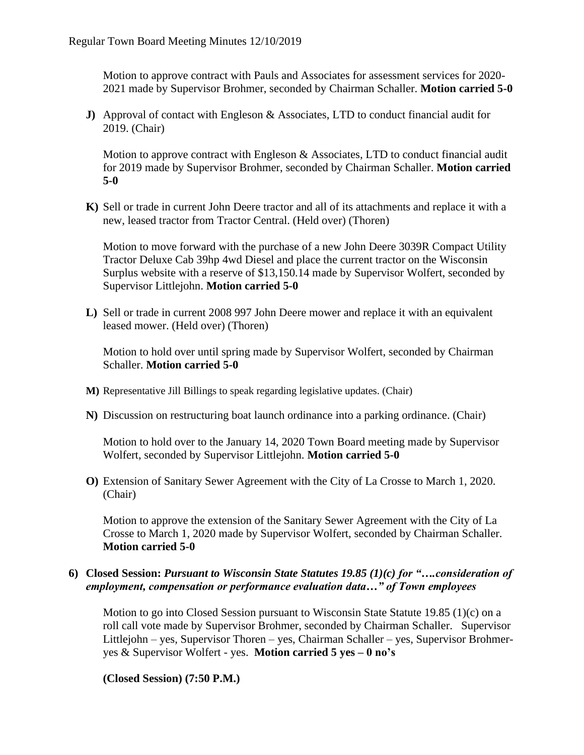Motion to approve contract with Pauls and Associates for assessment services for 2020- 2021 made by Supervisor Brohmer, seconded by Chairman Schaller. **Motion carried 5-0**

**J)** Approval of contact with Engleson & Associates, LTD to conduct financial audit for 2019. (Chair)

Motion to approve contract with Engleson & Associates, LTD to conduct financial audit for 2019 made by Supervisor Brohmer, seconded by Chairman Schaller. **Motion carried 5-0**

**K)** Sell or trade in current John Deere tractor and all of its attachments and replace it with a new, leased tractor from Tractor Central. (Held over) (Thoren)

Motion to move forward with the purchase of a new John Deere 3039R Compact Utility Tractor Deluxe Cab 39hp 4wd Diesel and place the current tractor on the Wisconsin Surplus website with a reserve of \$13,150.14 made by Supervisor Wolfert, seconded by Supervisor Littlejohn. **Motion carried 5-0**

**L)** Sell or trade in current 2008 997 John Deere mower and replace it with an equivalent leased mower. (Held over) (Thoren)

Motion to hold over until spring made by Supervisor Wolfert, seconded by Chairman Schaller. **Motion carried 5-0**

- **M)** Representative Jill Billings to speak regarding legislative updates. (Chair)
- **N)** Discussion on restructuring boat launch ordinance into a parking ordinance. (Chair)

Motion to hold over to the January 14, 2020 Town Board meeting made by Supervisor Wolfert, seconded by Supervisor Littlejohn. **Motion carried 5-0**

**O)** Extension of Sanitary Sewer Agreement with the City of La Crosse to March 1, 2020. (Chair)

Motion to approve the extension of the Sanitary Sewer Agreement with the City of La Crosse to March 1, 2020 made by Supervisor Wolfert, seconded by Chairman Schaller. **Motion carried 5-0**

## **6) Closed Session:** *Pursuant to Wisconsin State Statutes 19.85 (1)(c) for "….consideration of employment, compensation or performance evaluation data…" of Town employees*

Motion to go into Closed Session pursuant to Wisconsin State Statute 19.85 (1)(c) on a roll call vote made by Supervisor Brohmer, seconded by Chairman Schaller. Supervisor Littlejohn – yes, Supervisor Thoren – yes, Chairman Schaller – yes, Supervisor Brohmeryes & Supervisor Wolfert - yes. **Motion carried 5 yes – 0 no's**

**(Closed Session) (7:50 P.M.)**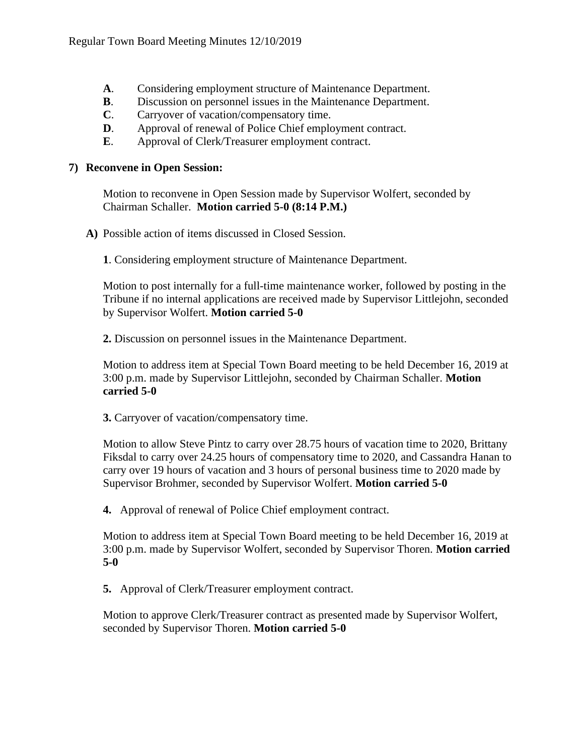- **A**. Considering employment structure of Maintenance Department.
- **B**. Discussion on personnel issues in the Maintenance Department.
- **C**. Carryover of vacation/compensatory time.
- **D**. Approval of renewal of Police Chief employment contract.
- **E**. Approval of Clerk/Treasurer employment contract.

## **7) Reconvene in Open Session:**

Motion to reconvene in Open Session made by Supervisor Wolfert, seconded by Chairman Schaller. **Motion carried 5-0 (8:14 P.M.)**

**A)** Possible action of items discussed in Closed Session.

**1**. Considering employment structure of Maintenance Department.

Motion to post internally for a full-time maintenance worker, followed by posting in the Tribune if no internal applications are received made by Supervisor Littlejohn, seconded by Supervisor Wolfert. **Motion carried 5-0**

**2.** Discussion on personnel issues in the Maintenance Department.

Motion to address item at Special Town Board meeting to be held December 16, 2019 at 3:00 p.m. made by Supervisor Littlejohn, seconded by Chairman Schaller. **Motion carried 5-0**

**3.** Carryover of vacation/compensatory time.

Motion to allow Steve Pintz to carry over 28.75 hours of vacation time to 2020, Brittany Fiksdal to carry over 24.25 hours of compensatory time to 2020, and Cassandra Hanan to carry over 19 hours of vacation and 3 hours of personal business time to 2020 made by Supervisor Brohmer, seconded by Supervisor Wolfert. **Motion carried 5-0**

**4.** Approval of renewal of Police Chief employment contract.

Motion to address item at Special Town Board meeting to be held December 16, 2019 at 3:00 p.m. made by Supervisor Wolfert, seconded by Supervisor Thoren. **Motion carried 5-0**

**5.** Approval of Clerk/Treasurer employment contract.

Motion to approve Clerk/Treasurer contract as presented made by Supervisor Wolfert, seconded by Supervisor Thoren. **Motion carried 5-0**